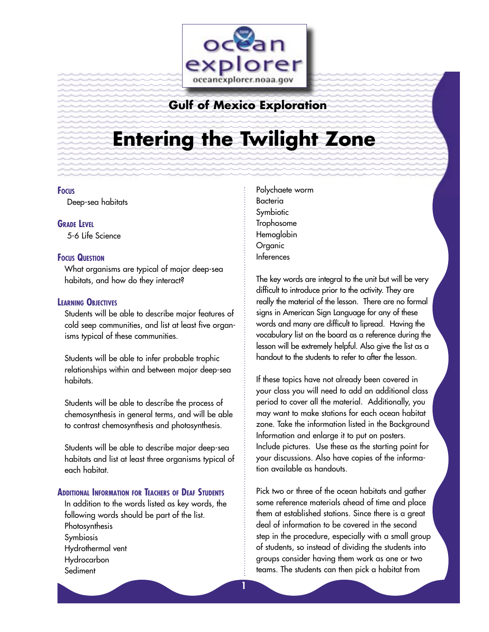

## **Gulf of Mexico Exploration**

# **Entering the Twilight Zone**

## **FOCUS**

Deep-sea habitats

**GRADE LEVEL**

5-6 Life Science

## **FOCUS QUESTION**

What organisms are typical of major deep-sea habitats, and how do they interact?

## **LEARNING OBJECTIVES**

Students will be able to describe major features of cold seep communities, and list at least five organisms typical of these communities.

Students will be able to infer probable trophic relationships within and between major deep-sea habitats.

Students will be able to describe the process of chemosynthesis in general terms, and will be able to contrast chemosynthesis and photosynthesis.

Students will be able to describe major deep-sea habitats and list at least three organisms typical of each habitat.

## **ADDITIONAL INFORMATION FOR TEACHERS OF DEAF STUDENTS**

In addition to the words listed as key words, the following words should be part of the list. Photosynthesis Symbiosis Hydrothermal vent Hydrocarbon **Sediment** 

Polychaete worm Bacteria Symbiotic Trophosome Hemoglobin Organic Inferences

The key words are integral to the unit but will be very difficult to introduce prior to the activity. They are really the material of the lesson. There are no formal signs in American Sign Language for any of these words and many are difficult to lipread. Having the vocabulary list on the board as a reference during the lesson will be extremely helpful. Also give the list as a handout to the students to refer to after the lesson.

If these topics have not already been covered in your class you will need to add an additional class period to cover all the material. Additionally, you may want to make stations for each ocean habitat zone. Take the information listed in the Background Information and enlarge it to put on posters. Include pictures. Use these as the starting point for your discussions. Also have copies of the information available as handouts.

Pick two or three of the ocean habitats and gather some reference materials ahead of time and place them at established stations. Since there is a great deal of information to be covered in the second step in the procedure, especially with a small group of students, so instead of dividing the students into groups consider having them work as one or two teams. The students can then pick a habitat from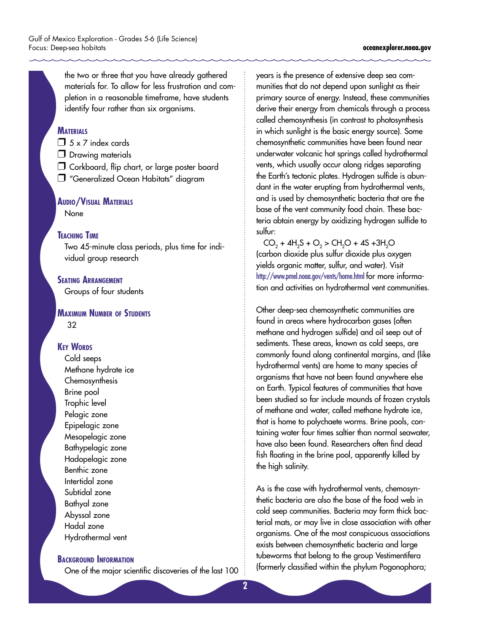the two or three that you have already gathered materials for. To allow for less frustration and completion in a reasonable timeframe, have students identify four rather than six organisms.

## **MATERIALS**

 $\Box$  5 x 7 index cards

- D Drawing materials
- $\Box$  Corkboard, flip chart, or large poster board
- **T** "Generalized Ocean Habitats" diagram

## **AUDIO/VISUAL MATERIALS None**

## **TEACHING TIME**

Two 45-minute class periods, plus time for individual group research

## **SEATING ARRANGEMENT**

Groups of four students

## **MAXIMUM NUMBER OF STUDENTS** 32

## **KEY WORDS**

Cold seeps Methane hydrate ice Chemosynthesis Brine pool Trophic level Pelagic zone Epipelagic zone Mesopelagic zone Bathypelagic zone Hadopelagic zone Benthic zone Intertidal zone Subtidal zone Bathyal zone Abyssal zone Hadal zone Hydrothermal vent

## **BACKGROUND INFORMATION**

One of the major scientific discoveries of the last 100

years is the presence of extensive deep sea communities that do not depend upon sunlight as their primary source of energy. Instead, these communities derive their energy from chemicals through a process called chemosynthesis (in contrast to photosynthesis in which sunlight is the basic energy source). Some chemosynthetic communities have been found near underwater volcanic hot springs called hydrothermal vents, which usually occur along ridges separating the Earth's tectonic plates. Hydrogen sulfide is abundant in the water erupting from hydrothermal vents, and is used by chemosynthetic bacteria that are the base of the vent community food chain. These bacteria obtain energy by oxidizing hydrogen sulfide to sulfur:

 $CO_2 + 4H_2S + O_2 > CH_2O + 4S + 3H_2O$ (carbon dioxide plus sulfur dioxide plus oxygen yields organic matter, sulfur, and water). Visit <http://www.pmel.noaa.gov/vents/home.html> for more information and activities on hydrothermal vent communities.

Other deep-sea chemosynthetic communities are found in areas where hydrocarbon gases (often methane and hydrogen sulfide) and oil seep out of sediments. These areas, known as cold seeps, are commonly found along continental margins, and (like hydrothermal vents) are home to many species of organisms that have not been found anywhere else on Earth. Typical features of communities that have been studied so far include mounds of frozen crystals of methane and water, called methane hydrate ice, that is home to polychaete worms. Brine pools, containing water four times saltier than normal seawater, have also been found. Researchers often find dead fish floating in the brine pool, apparently killed by the high salinity.

As is the case with hydrothermal vents, chemosynthetic bacteria are also the base of the food web in cold seep communities. Bacteria may form thick bacterial mats, or may live in close association with other organisms. One of the most conspicuous associations exists between chemosynthetic bacteria and large tubeworms that belong to the group Vestimentifera (formerly classified within the phylum Pogonophora;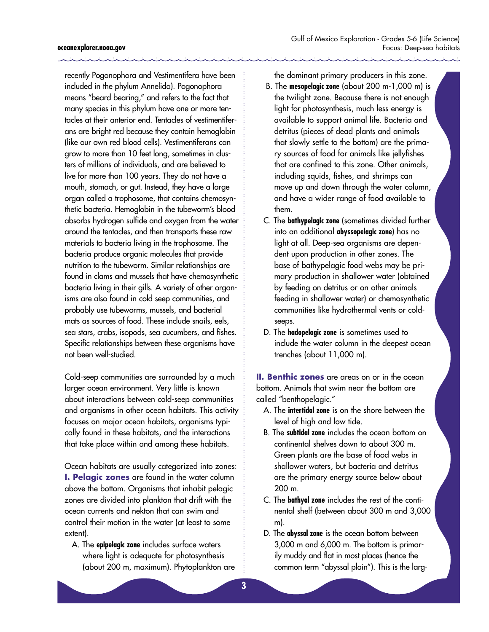recently Pogonophora and Vestimentifera have been included in the phylum Annelida). Pogonophora means "beard bearing," and refers to the fact that many species in this phylum have one or more tentacles at their anterior end. Tentacles of vestimentiferans are bright red because they contain hemoglobin (like our own red blood cells). Vestimentiferans can grow to more than 10 feet long, sometimes in clusters of millions of individuals, and are believed to live for more than 100 years. They do not have a mouth, stomach, or gut. Instead, they have a large organ called a trophosome, that contains chemosynthetic bacteria. Hemoglobin in the tubeworm's blood absorbs hydrogen sulfide and oxygen from the water around the tentacles, and then transports these raw materials to bacteria living in the trophosome. The bacteria produce organic molecules that provide nutrition to the tubeworm. Similar relationships are found in clams and mussels that have chemosynthetic bacteria living in their gills. A variety of other organisms are also found in cold seep communities, and probably use tubeworms, mussels, and bacterial mats as sources of food. These include snails, eels, sea stars, crabs, isopods, sea cucumbers, and fishes. Specific relationships between these organisms have not been well-studied.

Cold-seep communities are surrounded by a much larger ocean environment. Very little is known about interactions between cold-seep communities and organisms in other ocean habitats. This activity focuses on major ocean habitats, organisms typically found in these habitats, and the interactions that take place within and among these habitats.

Ocean habitats are usually categorized into zones: **I. Pelagic zones** are found in the water column above the bottom. Organisms that inhabit pelagic zones are divided into plankton that drift with the ocean currents and nekton that can swim and control their motion in the water (at least to some extent).

A. The **epipelagic zone** includes surface waters where light is adequate for photosynthesis (about 200 m, maximum). Phytoplankton are the dominant primary producers in this zone.

- B. The **mesopelagic zone** (about 200 m-1,000 m) is the twilight zone. Because there is not enough light for photosynthesis, much less energy is available to support animal life. Bacteria and detritus (pieces of dead plants and animals that slowly settle to the bottom) are the primary sources of food for animals like jellyfishes that are confined to this zone. Other animals, including squids, fishes, and shrimps can move up and down through the water column, and have a wider range of food available to them.
- C. The **bathypelagic zone** (sometimes divided further into an additional **abyssopelagic zone**) has no light at all. Deep-sea organisms are dependent upon production in other zones. The base of bathypelagic food webs may be primary production in shallower water (obtained by feeding on detritus or on other animals feeding in shallower water) or chemosynthetic communities like hydrothermal vents or coldseeps.
- D. The **hadopelagic zone** is sometimes used to include the water column in the deepest ocean trenches (about 11,000 m).

**II. Benthic zones** are areas on or in the ocean bottom. Animals that swim near the bottom are called "benthopelagic."

- A. The **intertidal zone** is on the shore between the level of high and low tide.
- B. The **subtidal zone** includes the ocean bottom on continental shelves down to about 300 m. Green plants are the base of food webs in shallower waters, but bacteria and detritus are the primary energy source below about 200 m.
- C. The **bathyal zone** includes the rest of the continental shelf (between about 300 m and 3,000 m).
- D. The **abyssal zone** is the ocean bottom between 3,000 m and 6,000 m. The bottom is primarily muddy and flat in most places (hence the common term "abyssal plain"). This is the larg-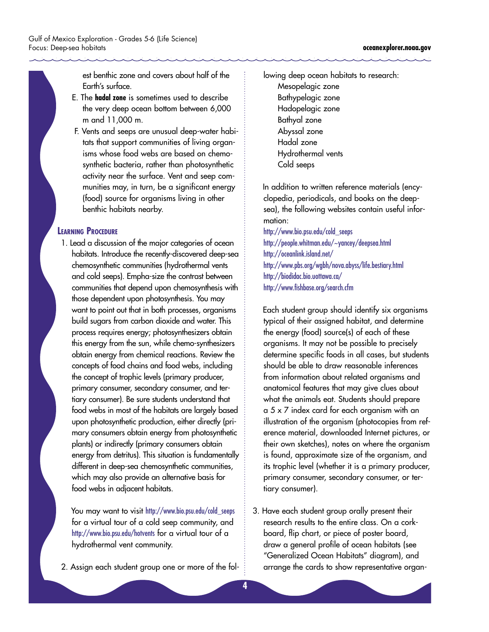est benthic zone and covers about half of the Earth's surface.

- E. The **hadal zone** is sometimes used to describe the very deep ocean bottom between 6,000 m and 11,000 m.
- F. Vents and seeps are unusual deep-water habitats that support communities of living organisms whose food webs are based on chemosynthetic bacteria, rather than photosynthetic activity near the surface. Vent and seep communities may, in turn, be a significant energy (food) source for organisms living in other benthic habitats nearby.

## **LEARNING PROCEDURE**

1. Lead a discussion of the major categories of ocean habitats. Introduce the recently-discovered deep-sea chemosynthetic communities (hydrothermal vents and cold seeps). Empha-size the contrast between communities that depend upon chemosynthesis with those dependent upon photosynthesis. You may want to point out that in both processes, organisms build sugars from carbon dioxide and water. This process requires energy; photosynthesizers obtain this energy from the sun, while chemo-synthesizers obtain energy from chemical reactions. Review the concepts of food chains and food webs, including the concept of trophic levels (primary producer, primary consumer, secondary consumer, and tertiary consumer). Be sure students understand that food webs in most of the habitats are largely based upon photosynthetic production, either directly (primary consumers obtain energy from photosynthetic plants) or indirectly (primary consumers obtain energy from detritus). This situation is fundamentally different in deep-sea chemosynthetic communities, which may also provide an alternative basis for food webs in adjacent habitats.

 You may want to visi[t]( http://www.bio.psu.edu/cold_seeps) [http://www.bio.psu.edu/cold\\_seeps]( http://www.bio.psu.edu/cold_seeps) for a virtual tour of a cold seep community, and <http://www.bio.psu.edu/hotvents> for a virtual tour of a hydrothermal vent community.

2. Assign each student group one or more of the fol-

lowing deep ocean habitats to research: Mesopelagic zone Bathypelagic zone Hadopelagic zone Bathyal zone Abyssal zone Hadal zone Hydrothermal vents Cold seeps

 In addition to written reference materials (encyclopedia, periodicals, and books on the deepsea), the following websites contain useful information:

[http://www.bio.psu.edu/cold\\_seeps](http://www.bio.psu.edu/cold_seeps) <http://people.whitman.edu/~yancey/deepsea.html> <http://oceanlink.island.net/> <http://www.pbs.org/wgbh/nova.abyss/life.bestiary.html> <http://biodidac.bio.uottawa.ca/> <http://www.fishbase.org/search.cfm>

 Each student group should identify six organisms typical of their assigned habitat, and determine the energy (food) source(s) of each of these organisms. It may not be possible to precisely determine specific foods in all cases, but students should be able to draw reasonable inferences from information about related organisms and anatomical features that may give clues about what the animals eat. Students should prepare a 5 x 7 index card for each organism with an illustration of the organism (photocopies from reference material, downloaded Internet pictures, or their own sketches), notes on where the organism is found, approximate size of the organism, and its trophic level (whether it is a primary producer, primary consumer, secondary consumer, or tertiary consumer).

3. Have each student group orally present their research results to the entire class. On a corkboard, flip chart, or piece of poster board, draw a general profile of ocean habitats (see "Generalized Ocean Habitats" diagram), and arrange the cards to show representative organ-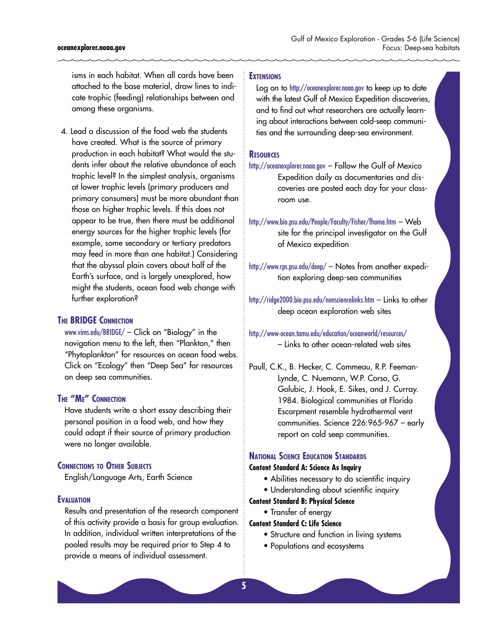#### **oceanexplorer.noaa.gov**

isms in each habitat. When all cards have been attached to the base material, draw lines to indicate trophic (feeding) relationships between and among these organisms.

4. Lead a discussion of the food web the students have created. What is the source of primary production in each habitat? What would the students infer about the relative abundance of each trophic level? In the simplest analysis, organisms at lower trophic levels (primary producers and primary consumers) must be more abundant than those on higher trophic levels. If this does not appear to be true, then there must be additional energy sources for the higher trophic levels (for example, some secondary or tertiary predators may feed in more than one habitat.) Considering that the abyssal plain covers about half of the Earth's surface, and is largely unexplored, how might the students, ocean food web change with further exploration?

## **THE BRIDGE CONNECTION**

[www.vims.edu/BRIDGE/](www.vims.edu/bridge/) – Click on "Biology" in the navigation menu to the left, then "Plankton," then "Phytoplankton" for resources on ocean food webs. Click on "Ecology" then "Deep Sea" for resources on deep sea communities.

## **THE "ME" CONNECTION**

Have students write a short essay describing their personal position in a food web, and how they could adapt if their source of primary production were no longer available.

## **CONNECTIONS TO OTHER SUBJECTS**

English/Language Arts, Earth Science

## **EVALUATION**

Results and presentation of the research component of this activity provide a basis for group evaluation. In addition, individual written interpretations of the pooled results may be required prior to Step 4 to provide a means of individual assessment.

## **EXTENSIONS**

Log on to <http://oceanexplorer.noaa.gov> to keep up to date with the latest Gulf of Mexico Expedition discoveries, and to find out what researchers are actually learning about interactions between cold-seep communities and the surrounding deep-sea environment.

## **RESOURCES**

<http://oceanexplorer.noaa.gov> – Follow the Gulf of Mexico Expedition daily as documentaries and discoveries are posted each day for your classroom use.

<http://www.bio.psu.edu/People/Faculty/Fisher/fhome.htm> – Web site for the principal investigator on the Gulf of Mexico expedition

<http://www.rps.psu.edu/deep/> – Notes from another expedition exploring deep-sea communities

<http://ridge2000.bio.psu.edu/nonsciencelinks.htm> – Links to other deep ocean exploration web sites

<http://www-ocean.tamu.edu/education/oceanworld/resources/> – Links to other ocean-related web sites

Paull, C.K., B. Hecker, C. Commeau, R.P. Feeman-Lynde, C. Nuemann, W.P. Corso, G. Golubic, J. Hook, E. Sikes, and J. Curray. 1984. Biological communities at Florida Escarpment resemble hydrothermal vent communities. Science 226:965-967 – early report on cold seep communities.

## **NATIONAL SCIENCE EDUCATION STANDARDS**

## **Content Standard A: Science As Inquiry**

- Abilities necessary to do scientific inquiry
- Understanding about scientific inquiry

## **Content Standard B: Physical Science**

- Transfer of energy
- **Content Standard C: Life Science**
	- Structure and function in living systems
	- Populations and ecosystems